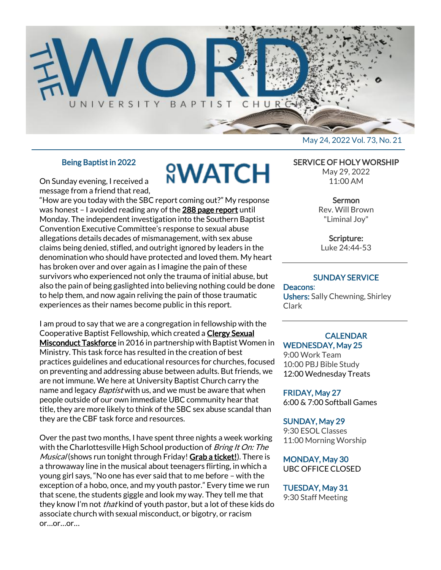

**<u><sup><u></u><sup></sup>WATCH</mark></u>**</u></sup>

### Being Baptist in 2022

On Sunday evening, I received a message from a friend that read,

"How are you today with the SBC report coming out?" My response was honest - I avoided reading any of the [288 page report](https://r20.rs6.net/tn.jsp?f=001USyljmSHfSrMhfai5DnkTi84Tls-42KmQhOdAcdgpfrTbwVjLlLFx5SCxuiO_4U8awe_PNkeQH13kAAmN1GzE-Etqrl2UG5H6_A3ErsX9vPiX5PEv-UDuKIv-0I542K_I8QBkXw1CGNj-LgRf_XITtGVxOxcF_W1H13IAzps0ROQ7LY_9UsckzNem3zOuy64Y4df0mbTtYdRPD9zpEh7QZtmiSu5Q6MvQgxJVDwa1Sa3L5i-EufxruX21738oF4N0WqEWyzkLR5N4VUhQrM9LiSY-0QSBsofJlH9kACjG4qwG48hrXO-UPp9O8eR6nbKROVEMuoOWcv8dUXZAGdeSIm8uh7HASKS&c=2Kx8q-GG5VMCH-wpI01TnsuI4kM5dJfNt9c_4KAZ9tHTLMlq43Zf7Q==&ch=74aDFdi-1rML_HS4-HYjfinN5tGCpEGcMFpICDb6xGv1JOsbrVCQqA==) until Monday. The independent investigation into the Southern Baptist Convention Executive Committee's response to sexual abuse allegations details decades of mismanagement, with sex abuse claims being denied, stifled, and outright ignored by leaders in the denomination who should have protected and loved them. My heart has broken over and over again as I imagine the pain of these survivors who experienced not only the trauma of initial abuse, but also the pain of being gaslighted into believing nothing could be done to help them, and now again reliving the pain of those traumatic experiences as their names become public in this report.

I am proud to say that we are a congregation in fellowship with the Cooperative Baptist Fellowship, which created a **Clergy Sexual** [Misconduct Taskforce](https://r20.rs6.net/tn.jsp?f=001USyljmSHfSrMhfai5DnkTi84Tls-42KmQhOdAcdgpfrTbwVjLlLFx5SCxuiO_4U84aOcStnHKMrxcfeBH8KHFD4OmgjXQL5GWh3mSJgIinT_sogXD0josUYM4TMUw_9xYaOIipl2X9AEodcD-0oqIQ==&c=2Kx8q-GG5VMCH-wpI01TnsuI4kM5dJfNt9c_4KAZ9tHTLMlq43Zf7Q==&ch=74aDFdi-1rML_HS4-HYjfinN5tGCpEGcMFpICDb6xGv1JOsbrVCQqA==) in 2016 in partnership with Baptist Women in Ministry. This task force has resulted in the creation of best practices guidelines and educational resources for churches, focused on preventing and addressing abuse between adults. But friends, we are not immune. We here at University Baptist Church carry the name and legacy *Baptist* with us, and we must be aware that when people outside of our own immediate UBC community hear that title, they are more likely to think of the SBC sex abuse scandal than they are the CBF task force and resources.

Over the past two months, I have spent three nights a week working with the Charlottesville High School production of Bring It On: The Musical (shows run tonight through Friday! [Grab a ticket!\)](https://r20.rs6.net/tn.jsp?f=001USyljmSHfSrMhfai5DnkTi84Tls-42KmQhOdAcdgpfrTbwVjLlLFx5SCxuiO_4U8ZpRuIJOY8yvE-fTLlewPBqY9SDCXYSB5VRZuBegTuNRIv5y3VLlBuTOX117d05GE4zX-Qcw9kIumWHvsgqvCNrvoyl3v1CZW&c=2Kx8q-GG5VMCH-wpI01TnsuI4kM5dJfNt9c_4KAZ9tHTLMlq43Zf7Q==&ch=74aDFdi-1rML_HS4-HYjfinN5tGCpEGcMFpICDb6xGv1JOsbrVCQqA==). There is a throwaway line in the musical about teenagers flirting, in which a young girl says, "No one has ever said that to me before – with the exception of a hobo, once, and my youth pastor." Every time we run that scene, the students giggle and look my way. They tell me that they know I'm not *that* kind of youth pastor, but a lot of these kids do associate church with sexual misconduct, or bigotry, or racism or…or…or…

SERVICE OF HOLY WORSHIP

May 29, 2022 11:00 AM

Sermon Rev. Will Brown "Liminal Joy"

Scripture: Luke 24:44-53

#### SUNDAY SERVICE

Deacons: Ushers: Sally Chewning, Shirley Clark

#### **CALENDAR** WEDNESDAY, May 25

9:00 Work Team 10:00 PBJ Bible Study 12:00 Wednesday Treats

FRIDAY, May 27 6:00 & 7:00 Softball Games

SUNDAY, May 29 9:30 ESOL Classes 11:00 Morning Worship

MONDAY, May 30 UBC OFFICE CLOSED

TUESDAY, May 31 9:30 Staff Meeting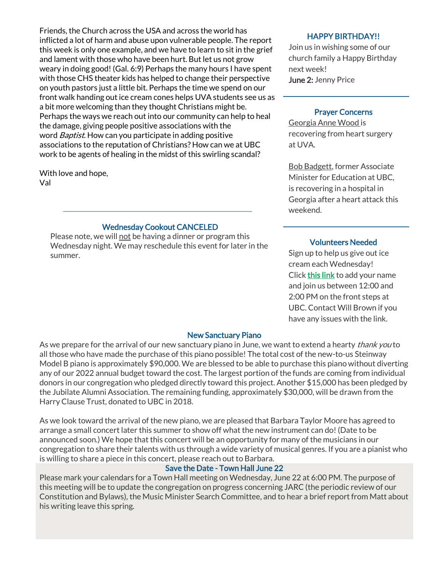Friends, the Church across the USA and across the world has inflicted a lot of harm and abuse upon vulnerable people. The report this week is only one example, and we have to learn to sit in the grief and lament with those who have been hurt. But let us not grow weary in doing good! (Gal. 6:9) Perhaps the many hours I have spent with those CHS theater kids has helped to change their perspective on youth pastors just a little bit. Perhaps the time we spend on our front walk handing out ice cream cones helps UVA students see us as a bit more welcoming than they thought Christians might be. Perhaps the ways we reach out into our community can help to heal the damage, giving people positive associations with the word *Baptist*. How can you participate in adding positive associations to the reputation of Christians? How can we at UBC work to be agents of healing in the midst of this swirling scandal?

With love and hope, Val

## Wednesday Cookout CANCELED

Please note, we will not be having a dinner or program this Wednesday night. We may reschedule this event for later in the summer.

### HAPPY BIRTHDAY!!

Join us in wishing some of our church family a Happy Birthday next week! June 2: Jenny Price

#### Prayer Concerns

Georgia Anne Wood is recovering from heart surgery at UVA.

Bob Badgett, former Associate Minister for Education at UBC, is recovering in a hospital in Georgia after a heart attack this weekend.

#### Volunteers Needed

Sign up to help us give out ice cream each Wednesday! Click [this link](https://r20.rs6.net/tn.jsp?f=001USyljmSHfSrMhfai5DnkTi84Tls-42KmQhOdAcdgpfrTbwVjLlLFxyvX2t_dXSaBky0bQ7gUP3sJpQKzP203yAws9RlVD4dLQ8czi5b-ZpMi0hXONfhXRp4sb0wDoGyGDYnj_YWYEri3Qyy-dq3m4EZ6j2b5HR0z57841EETe_3ktfw4RfDBQ78UJllOTMgXO3hmMaN5RkENCjj_qYEgJcss_QBFNi_yQOvIs8kk6bUUV9zVXgsFCvhxjNXdp1T2&c=2Kx8q-GG5VMCH-wpI01TnsuI4kM5dJfNt9c_4KAZ9tHTLMlq43Zf7Q==&ch=74aDFdi-1rML_HS4-HYjfinN5tGCpEGcMFpICDb6xGv1JOsbrVCQqA==) to add your name and join us between 12:00 and 2:00 PM on the front steps at UBC. Contact Will Brown if you have any issues with the link.

#### New Sanctuary Piano

As we prepare for the arrival of our new sanctuary piano in June, we want to extend a hearty *thank you* to all those who have made the purchase of this piano possible! The total cost of the new-to-us Steinway Model B piano is approximately \$90,000. We are blessed to be able to purchase this piano without diverting any of our 2022 annual budget toward the cost. The largest portion of the funds are coming from individual donors in our congregation who pledged directly toward this project. Another \$15,000 has been pledged by the Jubilate Alumni Association. The remaining funding, approximately \$30,000, will be drawn from the Harry Clause Trust, donated to UBC in 2018.

As we look toward the arrival of the new piano, we are pleased that Barbara Taylor Moore has agreed to arrange a small concert later this summer to show off what the new instrument can do! (Date to be announced soon.) We hope that this concert will be an opportunity for many of the musicians in our congregation to share their talents with us through a wide variety of musical genres. If you are a pianist who is willing to share a piece in this concert, please reach out to Barbara.

#### Save the Date - Town Hall June 22

Please mark your calendars for a Town Hall meeting on Wednesday, June 22 at 6:00 PM. The purpose of this meeting will be to update the congregation on progress concerning JARC (the periodic review of our Constitution and Bylaws), the Music Minister Search Committee, and to hear a brief report from Matt about his writing leave this spring.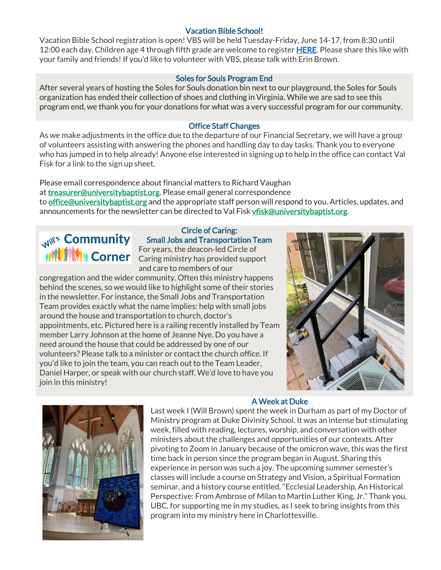## Vacation Bible School!

Vacation Bible School registration is open! VBS will be held Tuesday-Friday, June 14-17, from 8:30 until 12:00 each day. Children age 4 through fifth grade are welcome to register **HERE**. Please share this like with your family and friends! If you'd like to volunteer with VBS, please talk with Erin Brown.

## Soles for Souls Program End

After several years of hosting the Soles for Souls donation bin next to our playground, the Soles for Souls organization has ended their collection of shoes and clothing in Virginia. While we are sad to see this program end, we thank you for your donations for what was a very successful program for our community.

## Office Staff Changes

As we make adjustments in the office due to the departure of our Financial Secretary, we will have a group of volunteers assisting with answering the phones and handling day to day tasks. Thank you to everyone who has jumped in to help already! Anyone else interested in signing up to help in the office can contact Val Fisk for a link to the sign up sheet.

Please email correspondence about financial matters to Richard Vaughan at [treasurer@universitybaptist.org.](mailto:treasurer@universitybaptist.org) Please email general correspondence to **[office@universitybaptist.org](mailto:office@universitybaptist.org)** and the appropriate staff person will respond to you. Articles, updates, and announcements for the newsletter can be directed to Val Fisk [vfisk@universitybaptist.org.](mailto:vfisk@universitybaptist.org)

# **Mill's Community Will the Corner**

Circle of Caring: Small Jobs and Transportation Team For years, the deacon-led Circle of Caring ministry has provided support and care to members of our

congregation and the wider community. Often this ministry happens behind the scenes, so we would like to highlight some of their stories in the newsletter. For instance, the Small Jobs and Transportation Team provides exactly what the name implies: help with small jobs around the house and transportation to church, doctor's appointments, etc. Pictured here is a railing recently installed by Team member Larry Johnson at the home of Jeanne Nye. Do you have a need around the house that could be addressed by one of our volunteers? Please talk to a minister or contact the church office. If you'd like to join the team, you can reach out to the Team Leader, Daniel Harper, or speak with our church staff. We'd love to have you join in this ministry!





## A Week at Duke

Last week I (Will Brown) spent the week in Durham as part of my Doctor of Ministry program at Duke Divinity School. It was an intense but stimulating week, filled with reading, lectures, worship, and conversation with other ministers about the challenges and opportunities of our contexts. After pivoting to Zoom in January because of the omicron wave, this was the first time back in person since the program began in August. Sharing this experience in person was such a joy. The upcoming summer semester's classes will include a course on Strategy and Vision, a Spiritual Formation seminar, and a history course entitled, "Ecclesial Leadership, An Historical Perspective: From Ambrose of Milan to Martin Luther King, Jr." Thank you, UBC, for supporting me in my studies, as I seek to bring insights from this program into my ministry here in Charlottesville.